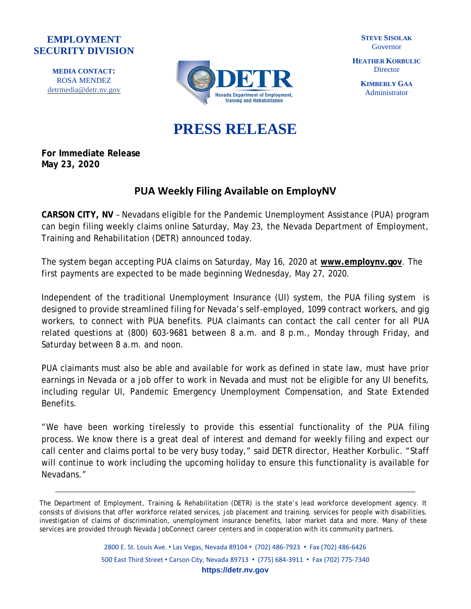## **EMPLOYMENT SECURITY DIVISION**

**MEDIA CONTACT:** ROSA MENDEZ [detrmedia@detr.nv.gov](mailto:detrmedia@detr.nv.gov)



**STEVE SISOLAK** Governor

**HEATHER KORBULIC Director** 

> **KIMBERLY GAA** Administrator

## **PRESS RELEASE**

**For Immediate Release May 23, 2020**

## **PUA Weekly Filing Available on EmployNV**

**CARSON CITY, NV** – Nevadans eligible for the Pandemic Unemployment Assistance (PUA) program can begin filing weekly claims online Saturday, May 23, the Nevada Department of Employment, Training and Rehabilitation (DETR) announced today.

The system began accepting PUA claims on Saturday, May 16, 2020 at **[www.employnv.gov](http://www.employnv.gov/)**. The first payments are expected to be made beginning Wednesday, May 27, 2020.

Independent of the traditional Unemployment Insurance (UI) system, the PUA filing system is designed to provide streamlined filing for Nevada's self-employed, 1099 contract workers, and gig workers, to connect with PUA benefits. PUA claimants can contact the call center for all PUA related questions at (800) 603-9681 between 8 a.m. and 8 p.m., Monday through Friday, and Saturday between 8 a.m. and noon.

PUA claimants must also be able and available for work as defined in state law, must have prior earnings in Nevada or a job offer to work in Nevada and must not be eligible for any UI benefits, including regular UI, Pandemic Emergency Unemployment Compensation, and State Extended Benefits.

"We have been working tirelessly to provide this essential functionality of the PUA filing process. We know there is a great deal of interest and demand for weekly filing and expect our call center and claims portal to be very busy today," said DETR director, Heather Korbulic. "Staff will continue to work including the upcoming holiday to ensure this functionality is available for Nevadans."

2800 E. St. Louis Ave. • Las Vegas, Nevada 89104 • (702) 486-7923 • Fax (702) 486-6426 500 East Third Street • Carson City, Nevada 89713 • (775) 684-3911 • Fax (702) 775-7340 **https://detr.nv.gov**

The Department of Employment, Training & Rehabilitation (DETR) is the state's lead workforce development agency. It consists of divisions that offer workforce related services, job placement and training, services for people with disabilities, investigation of claims of discrimination, unemployment insurance benefits, labor market data and more. Many of these services are provided through Nevada JobConnect career centers and in cooperation with its community partners.